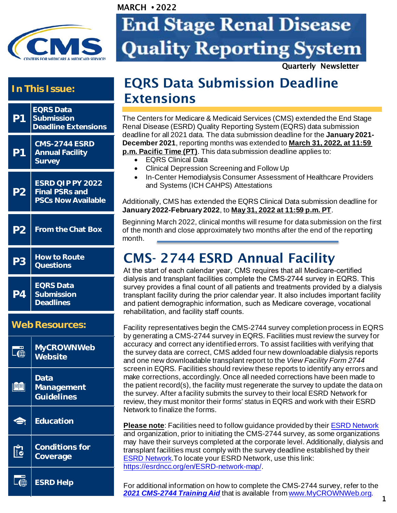

# **End Stage Renal Disease Quality Reporting System**

Quarterly Newsletter

#### **In This Issue:**



 $\overline{a}$ **[ESRD](https://cmsqualitysupport.servicenowservices.com/qnet_qa) Help** 

### EQRS Data Submission Deadline Extensions

The Centers for Medicare & Medicaid Services (CMS) extended the End Stage Renal Disease (ESRD) Quality Reporting System (EQRS) data submission deadline for all 2021 data. The data submission deadline for the **January 2021- December 2021**, reporting months was extended to **March 31, 2022, at 11:59 p.m. Pacific Time (PT)**. This data submission deadline applies to:

- - EQRS Clinical Data

MARCH **•** 2022

- Clinical Depression Screening and Follow Up
- In-Center Hemodialysis Consumer Assessment of Healthcare Providers and Systems (ICH CAHPS) Attestations

Additionally, CMS has extended the EQRS Clinical Data submission deadline for **January 2022-February 2022**, to **May 31, 2022 at 11:59 p.m. PT**.

Beginning March 2022, clinical months will resume for data submission on the first of the month and close approximately two months after the end of the reporting month.

### CMS- 2744 ESRD Annual Facility

At the start of each calendar year, CMS requires that all Medicare-certified dialysis and transplant facilities complete the CMS-2744 survey in EQRS. This survey provides a final count of all patients and treatments provided by a dialysis transplant facility during the prior calendar year. It also includes important facility and patient demographic information, such as Medicare coverage, vocational rehabilitation, and facility staff counts.

Facility representatives begin the CMS-2744 survey completion process in EQRS by generating a CMS-2744 survey in EQRS. Facilities must review the survey for accuracy and correct any identified errors. To assist facilities with verifying that the survey data are correct, CMS added four new downloadable dialysis reports and one new downloadable transplant report to the *View Facility Form 2744* screen in EQRS. Facilities should review these reports to identify any errors and make corrections, accordingly. Once all needed corrections have been made to the patient record(s), the facility must regenerate the survey to update the data on the survey. After a facility submits the survey to their local ESRD Network for review, they must monitor their forms' status in EQRS and work with their ESRD Network to finalize the forms.

**Please note**: Facilities need to follow guidance provided by their [ESRD Network](https://esrdncc.org/en/ESRD-network-map/) and organization, prior to initiating the CMS-2744 survey, as some organizations may have their surveys completed at the corporate level. Additionally, dialysis and transplant facilities must comply with the survey deadline established by their [ESRD Network.](https://esrdncc.org/en/ESRD-network-map/)To locate your ESRD Network, use this link: <https://esrdncc.org/en/ESRD-network-map/>.

For additional information on how to complete the CMS-2744 survey, refer to the *[2021 CMS-2744 Training Aid](https://mycrownweb.org/wp-content/uploads/2022/02/2021-CMS-2744-Annual-Survey_Training-Aid_Approved_20220224_vFINAL508.pdf)* that is available from [www.MyCROWNWeb.org.](http://www.mycrownweb.org/) **1**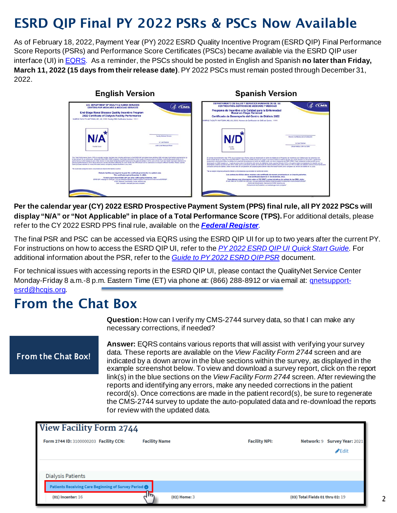## ESRD QIP Final PY 2022 PSRs & PSCs Now Available

As of February 18, 2022, Payment Year (PY) 2022 ESRD Quality Incentive Program (ESRD QIP) Final Performance Score Reports (PSRs) and Performance Score Certificates (PSCs) became available via the ESRD QIP user interface (UI) i[n EQRS.](https://eqrs.cms.gov/globalapp/) As a reminder, the PSCs should be posted in English and Spanish **no later than Friday, March 11, 2022 (15 days from their release date)**. PY 2022 PSCs must remain posted through December 31, 2022.

#### **English Version Spanish Version** ARTAMENTO DE SALUD Y SERVICIOS HUMANOS DE EE.<br>CENTROS PARA SERVICIOS DE MEDICARE Y MEDICAID **U.S. DEPARTMENT OF HEALTH & HUMAN SERVICES** & CCMS 4. CMS Programa de Incentivo a la Calidad para la Enformedad<br>Renal en Etapa Terminal<br>Certificado de Desempeño del Centro de Diálisis 2022 End-Stage Renal Disease Quality Incentive Progress 2022 Certificate of Dialysis Facility Performanc  $N/D$ N/A

**Per the calendar year (CY) 2022 ESRD Prospective Payment System (PPS) final rule, all PY 2022 PSCs will display "N/A" or "Not Applicable" in place of a Total Performance Score (TPS).** For additional details, please refer to the CY 2022 ESRD PPS final rule, available on the *[Federal Register](https://www.federalregister.gov/documents/2021/11/08/2021-23907/medicare-program-end-stage-renal-disease-prospective-payment-system-payment-for-renal-dialysis)*.

The final PSR and PSC can be accessed via EQRS using the ESRD QIP UI for up to two years after the current PY. For instructions on how to access the ESRD QIP UI, refer to the *[PY 2022 ESRD QIP UI Quick Start Guide.](https://qualitynet.cms.gov/esrd/esrdqip/resources#tab2)* For additional information about the PSR, refer to the *[Guide to PY 2022 ESRD QIP PSR](https://qualitynet.cms.gov/esrd/esrdqip/resources#tab2)* document.

For technical issues with accessing reports in the ESRD QIP UI, please contact the QualityNet Service Center Monday-Friday 8 a.m.-8 p.m. Eastern Time (ET) via phone at: (866) 288-8912 or via email at: [qnetsupport](mailto:qnetsupport-esrd@hcqis.org)[esrd@hcqis.org.](mailto:qnetsupport-esrd@hcqis.org)

### From the Chat Box

**Question:** How can I verify my CMS-2744 survey data, so that I can make any necessary corrections, if needed?

#### [From](https://cmsqualitysupport.servicenowservices.com/qnet_qa) the Chat Box!

**Answer:** EQRS contains various reports that will assist with verifying your survey data. These reports are available on the *View Facility Form 2744* screen and are indicated by a down arrow in the blue sections within the survey, as displayed in the example screenshot below. To view and download a survey report, click on the report link(s) in the blue sections on the *View Facility Form 2744* screen. After reviewing the reports and identifying any errors, make any needed corrections in the patient record(s). Once corrections are made in the patient record(s), be sure to regenerate the CMS-2744 survey to update the auto-populated data and re-download the reports for review with the updated data.

| <b>View Facility Form 2744</b>                       |                      |                      |                                                  |  |  |
|------------------------------------------------------|----------------------|----------------------|--------------------------------------------------|--|--|
| Form 2744 ID: 3100000203 Facility CCN:               | <b>Facility Name</b> | <b>Facility NPI:</b> | Network: 9 Survey Year: 2021<br>$\triangle$ Edit |  |  |
| <b>Dialysis Patients</b>                             |                      |                      |                                                  |  |  |
| Patients Receiving Care Beginning of Survey Period @ |                      |                      |                                                  |  |  |
| $(01)$ Incenter: 16                                  | (02) Home: 3         |                      | (03) Total Fields 01 thru 02: 19                 |  |  |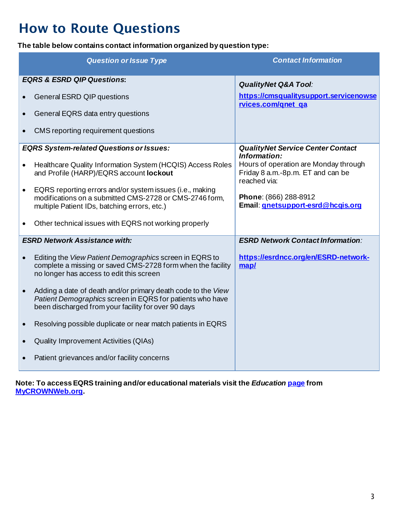# How to Route Questions

**The table below contains contact information organized by question type:** 

| <b>Question or Issue Type</b>         |                                                                                                                                                                                  | <b>Contact Information</b>                                                                 |
|---------------------------------------|----------------------------------------------------------------------------------------------------------------------------------------------------------------------------------|--------------------------------------------------------------------------------------------|
| <b>EQRS &amp; ESRD QIP Questions:</b> |                                                                                                                                                                                  | <b>QualityNet Q&amp;A Tool:</b>                                                            |
| $\bullet$                             | <b>General ESRD QIP questions</b>                                                                                                                                                | https://cmsqualitysupport.servicenowse<br>rvices.com/gnet ga                               |
| $\bullet$                             | General EQRS data entry questions                                                                                                                                                |                                                                                            |
| $\bullet$                             | CMS reporting requirement questions                                                                                                                                              |                                                                                            |
|                                       | <b>EQRS System-related Questions or Issues:</b>                                                                                                                                  | <b>QualityNet Service Center Contact</b><br>Information:                                   |
| $\bullet$                             | Healthcare Quality Information System (HCQIS) Access Roles<br>and Profile (HARP)/EQRS account lockout                                                                            | Hours of operation are Monday through<br>Friday 8 a.m.-8p.m. ET and can be<br>reached via: |
| $\bullet$                             | EQRS reporting errors and/or system issues (i.e., making<br>modifications on a submitted CMS-2728 or CMS-2746 form,<br>multiple Patient IDs, batching errors, etc.)              | Phone: (866) 288-8912<br>Email: <i>gnetsupport-esrd@hcgis.org</i>                          |
|                                       | Other technical issues with EQRS not working properly                                                                                                                            |                                                                                            |
| <b>ESRD Network Assistance with:</b>  |                                                                                                                                                                                  | <b>ESRD Network Contact Information:</b>                                                   |
| $\bullet$                             | Editing the View Patient Demographics screen in EQRS to<br>complete a missing or saved CMS-2728 form when the facility<br>no longer has access to edit this screen               | https://esrdncc.org/en/ESRD-network-<br>map/                                               |
| $\bullet$                             | Adding a date of death and/or primary death code to the View<br>Patient Demographics screen in EQRS for patients who have<br>been discharged from your facility for over 90 days |                                                                                            |
| $\bullet$                             | Resolving possible duplicate or near match patients in EQRS                                                                                                                      |                                                                                            |
| $\bullet$                             | <b>Quality Improvement Activities (QIAs)</b>                                                                                                                                     |                                                                                            |
|                                       | Patient grievances and/or facility concerns                                                                                                                                      |                                                                                            |

**Note: To access EQRS training and/or educational materials visit the** *Education* **[page](https://mycrownweb.org/education/) from [MyCROWNWeb.org.](https://mycrownweb.org/)**